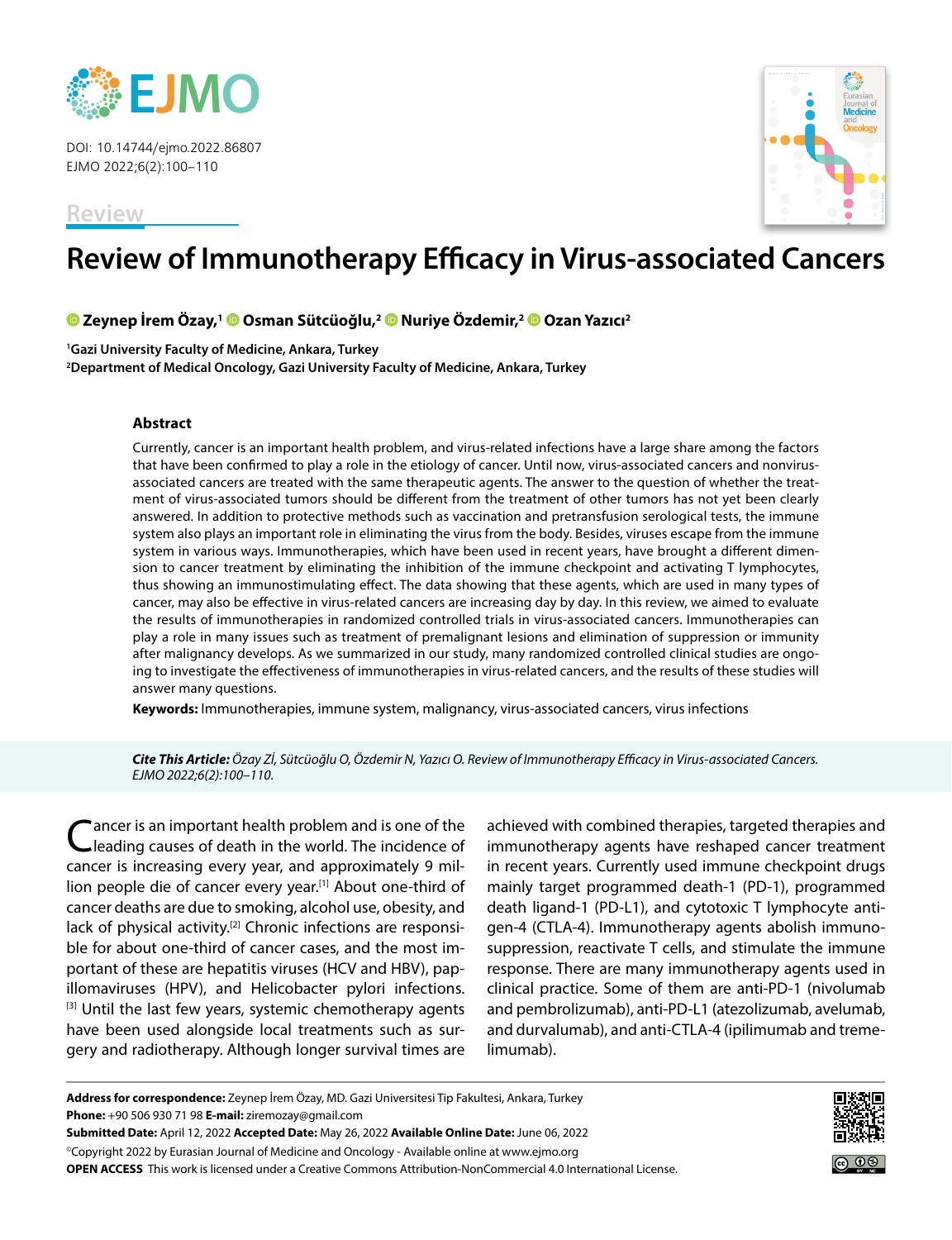

DOI: 10.14744/ejmo.2022.86807 EJMO 2022;6(2):100–110



# **Review of Immunotherapy Efficacy in Virus-associated Cancers**

**Zeynep İrem Özay,1Osman Sütcüoğlu,[2 N](https://orcid.org/0000-0002-9235-9592)uriye Özdemir,2Ozan Yazıcı2**

**1 Gazi University Faculty of Medicine, Ankara, Turkey 2 Department of Medical Oncology, Gazi University Faculty of Medicine, Ankara, Turkey**

### **Abstract**

Currently, cancer is an important health problem, and virus-related infections have a large share among the factors that have been confirmed to play a role in the etiology of cancer. Until now, virus-associated cancers and nonvirusassociated cancers are treated with the same therapeutic agents. The answer to the question of whether the treatment of virus-associated tumors should be different from the treatment of other tumors has not yet been clearly answered. In addition to protective methods such as vaccination and pretransfusion serological tests, the immune system also plays an important role in eliminating the virus from the body. Besides, viruses escape from the immune system in various ways. Immunotherapies, which have been used in recent years, have brought a different dimension to cancer treatment by eliminating the inhibition of the immune checkpoint and activating T lymphocytes, thus showing an immunostimulating effect. The data showing that these agents, which are used in many types of cancer, may also be effective in virus-related cancers are increasing day by day. In this review, we aimed to evaluate the results of immunotherapies in randomized controlled trials in virus-associated cancers. Immunotherapies can play a role in many issues such as treatment of premalignant lesions and elimination of suppression or immunity after malignancy develops. As we summarized in our study, many randomized controlled clinical studies are ongoing to investigate the effectiveness of immunotherapies in virus-related cancers, and the results of these studies will answer many questions.

**Keywords:** Immunotherapies, immune system, malignancy, virus-associated cancers, virus infections

*Cite This Article: Özay Zİ, Sütcüoğlu O, Özdemir N, Yazıcı O. Review of Immunotherapy Efficacy in Virus-associated Cancers. EJMO 2022;6(2):100–110.*

ancer is an important health problem and is one of the leading causes of death in the world. The incidence of cancer is increasing every year, and approximately 9 million people die of cancer every year.<sup>[1]</sup> About one-third of cancer deaths are due to smoking, alcohol use, obesity, and lack of physical activity.<sup>[2]</sup> Chronic infections are responsible for about one-third of cancer cases, and the most important of these are hepatitis viruses (HCV and HBV), papillomaviruses (HPV), and Helicobacter pylori infections. [3] Until the last few years, systemic chemotherapy agents have been used alongside local treatments such as surgery and radiotherapy. Although longer survival times are

achieved with combined therapies, targeted therapies and immunotherapy agents have reshaped cancer treatment in recent years. Currently used immune checkpoint drugs mainly target programmed death-1 (PD-1), programmed death ligand-1 (PD-L1), and cytotoxic T lymphocyte antigen-4 (CTLA-4). Immunotherapy agents abolish immunosuppression, reactivate T cells, and stimulate the immune response. There are many immunotherapy agents used in clinical practice. Some of them are anti-PD-1 (nivolumab and pembrolizumab), anti-PD-L1 (atezolizumab, avelumab, and durvalumab), and anti-CTLA-4 (ipilimumab and tremelimumab).

**Address for correspondence:** Zeynep İrem Özay, MD. Gazi Universitesi Tip Fakultesi, Ankara, Turkey **Phone:** +90 506 930 71 98 **E-mail:** ziremozay@gmail.com

**Submitted Date:** April 12, 2022 **Accepted Date:** May 26, 2022 **Available Online Date:** June 06, 2022 ©Copyright 2022 by Eurasian Journal of Medicine and Oncology - Available online at www.ejmo.org

**OPEN ACCESS** This work is licensed under a Creative Commons Attribution-NonCommercial 4.0 International License.

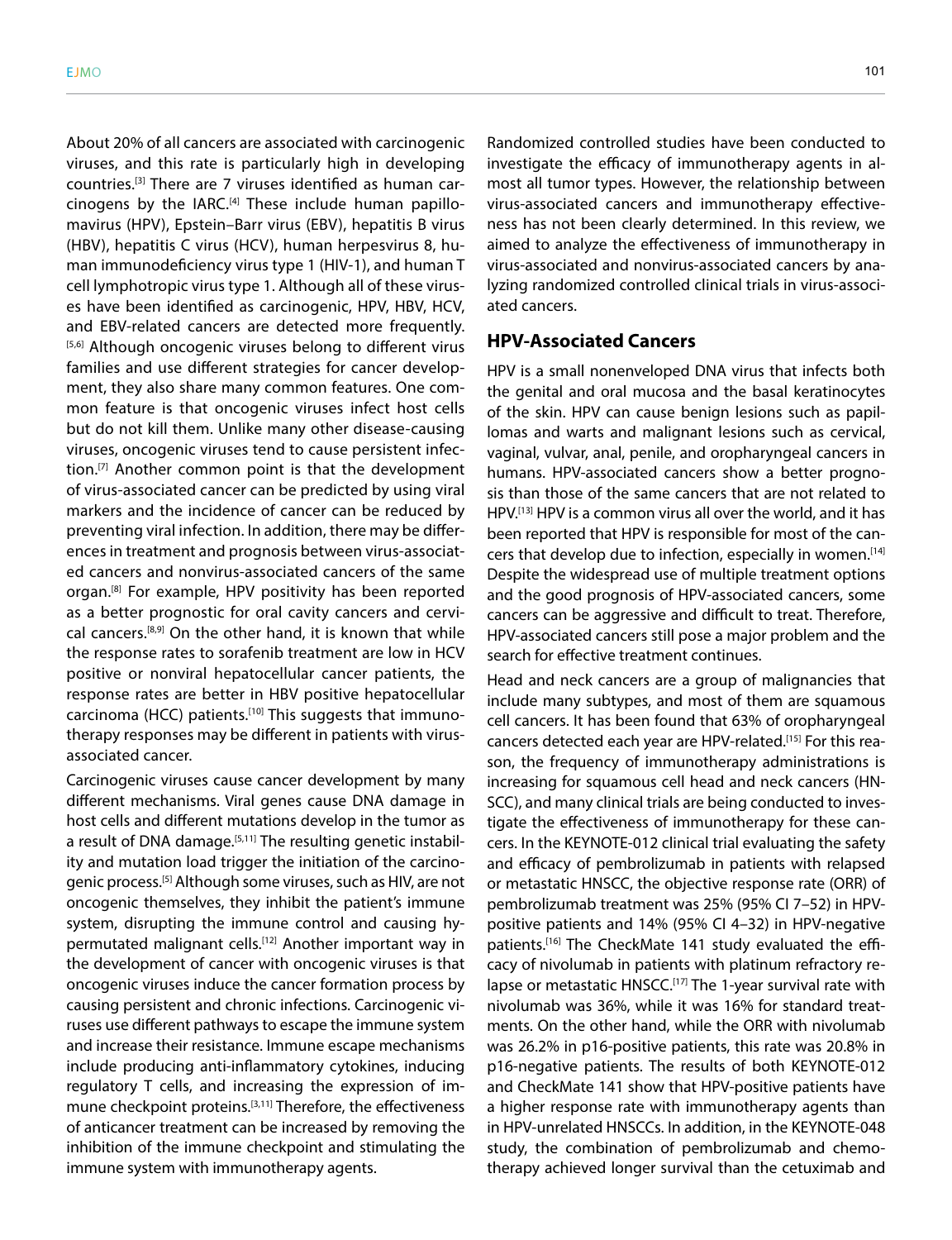About 20% of all cancers are associated with carcinogenic viruses, and this rate is particularly high in developing countries.[3] There are 7 viruses identified as human carcinogens by the IARC.[4] These include human papillomavirus (HPV), Epstein–Barr virus (EBV), hepatitis B virus (HBV), hepatitis C virus (HCV), human herpesvirus 8, human immunodeficiency virus type 1 (HIV-1), and human T cell lymphotropic virus type 1. Although all of these viruses have been identified as carcinogenic, HPV, HBV, HCV, and EBV-related cancers are detected more frequently. [5,6] Although oncogenic viruses belong to different virus families and use different strategies for cancer development, they also share many common features. One common feature is that oncogenic viruses infect host cells but do not kill them. Unlike many other disease-causing viruses, oncogenic viruses tend to cause persistent infection.[7] Another common point is that the development of virus-associated cancer can be predicted by using viral markers and the incidence of cancer can be reduced by preventing viral infection. In addition, there may be differences in treatment and prognosis between virus-associated cancers and nonvirus-associated cancers of the same organ.<sup>[8]</sup> For example, HPV positivity has been reported as a better prognostic for oral cavity cancers and cervical cancers.<sup>[8,9]</sup> On the other hand, it is known that while the response rates to sorafenib treatment are low in HCV positive or nonviral hepatocellular cancer patients, the response rates are better in HBV positive hepatocellular carcinoma (HCC) patients.<sup>[10]</sup> This suggests that immunotherapy responses may be different in patients with virusassociated cancer.

Carcinogenic viruses cause cancer development by many different mechanisms. Viral genes cause DNA damage in host cells and different mutations develop in the tumor as a result of DNA damage.<sup>[5,11]</sup> The resulting genetic instability and mutation load trigger the initiation of the carcinogenic process.[5] Although some viruses, such as HIV, are not oncogenic themselves, they inhibit the patient's immune system, disrupting the immune control and causing hypermutated malignant cells.<sup>[12]</sup> Another important way in the development of cancer with oncogenic viruses is that oncogenic viruses induce the cancer formation process by causing persistent and chronic infections. Carcinogenic viruses use different pathways to escape the immune system and increase their resistance. Immune escape mechanisms include producing anti-inflammatory cytokines, inducing regulatory T cells, and increasing the expression of immune checkpoint proteins.<sup>[3,11]</sup> Therefore, the effectiveness of anticancer treatment can be increased by removing the inhibition of the immune checkpoint and stimulating the immune system with immunotherapy agents.

Randomized controlled studies have been conducted to investigate the efficacy of immunotherapy agents in almost all tumor types. However, the relationship between virus-associated cancers and immunotherapy effectiveness has not been clearly determined. In this review, we aimed to analyze the effectiveness of immunotherapy in virus-associated and nonvirus-associated cancers by analyzing randomized controlled clinical trials in virus-associated cancers.

### **HPV-Associated Cancers**

HPV is a small nonenveloped DNA virus that infects both the genital and oral mucosa and the basal keratinocytes of the skin. HPV can cause benign lesions such as papillomas and warts and malignant lesions such as cervical, vaginal, vulvar, anal, penile, and oropharyngeal cancers in humans. HPV-associated cancers show a better prognosis than those of the same cancers that are not related to HPV.[13] HPV is a common virus all over the world, and it has been reported that HPV is responsible for most of the cancers that develop due to infection, especially in women.<sup>[14]</sup> Despite the widespread use of multiple treatment options and the good prognosis of HPV-associated cancers, some cancers can be aggressive and difficult to treat. Therefore, HPV-associated cancers still pose a major problem and the search for effective treatment continues.

Head and neck cancers are a group of malignancies that include many subtypes, and most of them are squamous cell cancers. It has been found that 63% of oropharyngeal cancers detected each year are HPV-related.[15] For this reason, the frequency of immunotherapy administrations is increasing for squamous cell head and neck cancers (HN-SCC), and many clinical trials are being conducted to investigate the effectiveness of immunotherapy for these cancers. In the KEYNOTE-012 clinical trial evaluating the safety and efficacy of pembrolizumab in patients with relapsed or metastatic HNSCC, the objective response rate (ORR) of pembrolizumab treatment was 25% (95% CI 7–52) in HPVpositive patients and 14% (95% CI 4–32) in HPV-negative patients.<sup>[16]</sup> The CheckMate 141 study evaluated the efficacy of nivolumab in patients with platinum refractory relapse or metastatic HNSCC.<sup>[17]</sup> The 1-year survival rate with nivolumab was 36%, while it was 16% for standard treatments. On the other hand, while the ORR with nivolumab was 26.2% in p16-positive patients, this rate was 20.8% in p16-negative patients. The results of both KEYNOTE-012 and CheckMate 141 show that HPV-positive patients have a higher response rate with immunotherapy agents than in HPV-unrelated HNSCCs. In addition, in the KEYNOTE-048 study, the combination of pembrolizumab and chemotherapy achieved longer survival than the cetuximab and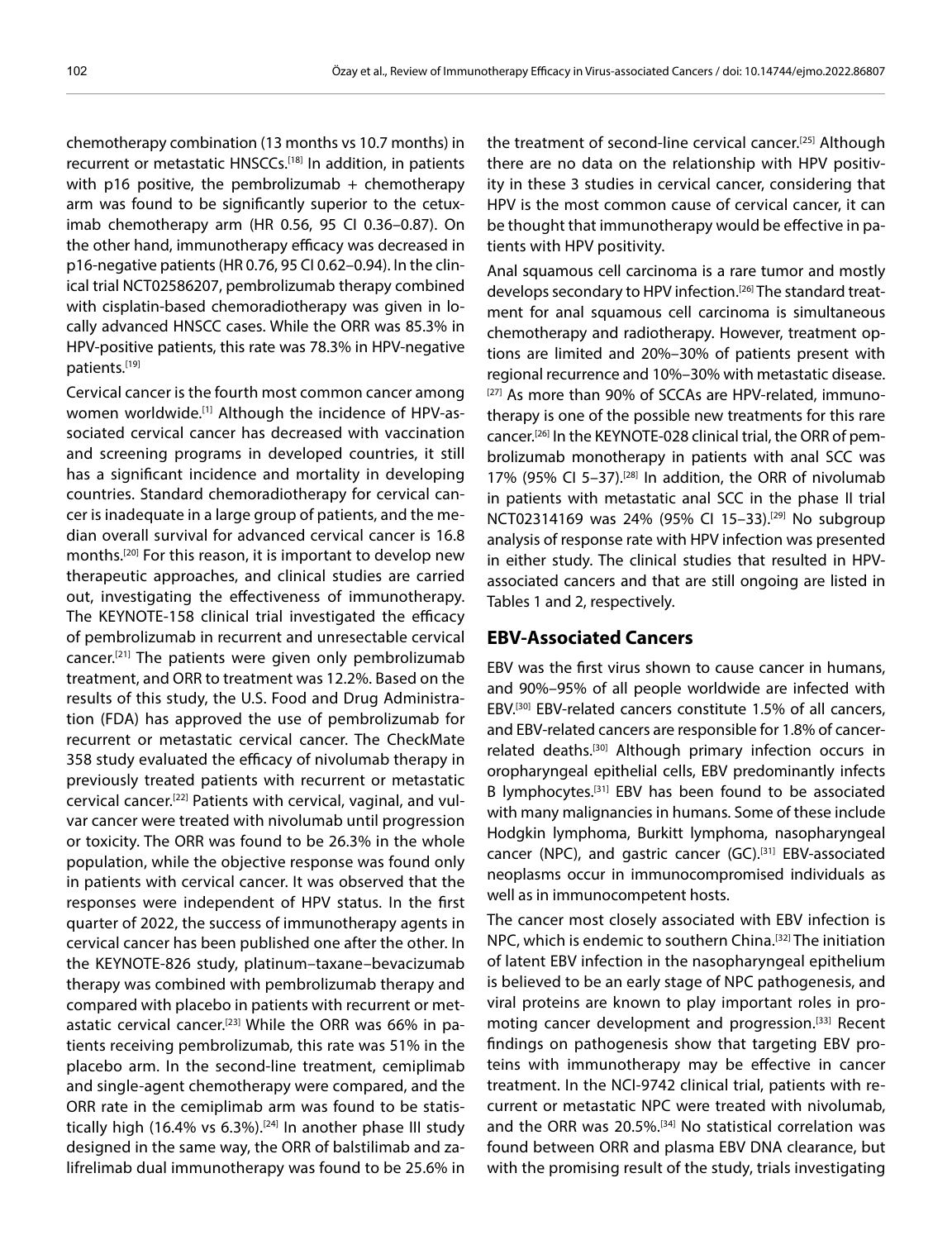chemotherapy combination (13 months vs 10.7 months) in recurrent or metastatic HNSCCs.<sup>[18]</sup> In addition, in patients with  $p16$  positive, the pembrolizumab + chemotherapy arm was found to be significantly superior to the cetuximab chemotherapy arm (HR 0.56, 95 CI 0.36–0.87). On the other hand, immunotherapy efficacy was decreased in p16-negative patients (HR 0.76, 95 CI 0.62–0.94). In the clinical trial NCT02586207, pembrolizumab therapy combined with cisplatin-based chemoradiotherapy was given in locally advanced HNSCC cases. While the ORR was 85.3% in HPV-positive patients, this rate was 78.3% in HPV-negative patients.[19]

Cervical cancer is the fourth most common cancer among women worldwide.[1] Although the incidence of HPV-associated cervical cancer has decreased with vaccination and screening programs in developed countries, it still has a significant incidence and mortality in developing countries. Standard chemoradiotherapy for cervical cancer is inadequate in a large group of patients, and the median overall survival for advanced cervical cancer is 16.8 months.[20] For this reason, it is important to develop new therapeutic approaches, and clinical studies are carried out, investigating the effectiveness of immunotherapy. The KEYNOTE-158 clinical trial investigated the efficacy of pembrolizumab in recurrent and unresectable cervical cancer.<sup>[21]</sup> The patients were given only pembrolizumab treatment, and ORR to treatment was 12.2%. Based on the results of this study, the U.S. Food and Drug Administration (FDA) has approved the use of pembrolizumab for recurrent or metastatic cervical cancer. The CheckMate 358 study evaluated the efficacy of nivolumab therapy in previously treated patients with recurrent or metastatic cervical cancer.[22] Patients with cervical, vaginal, and vulvar cancer were treated with nivolumab until progression or toxicity. The ORR was found to be 26.3% in the whole population, while the objective response was found only in patients with cervical cancer. It was observed that the responses were independent of HPV status. In the first quarter of 2022, the success of immunotherapy agents in cervical cancer has been published one after the other. In the KEYNOTE-826 study, platinum–taxane–bevacizumab therapy was combined with pembrolizumab therapy and compared with placebo in patients with recurrent or metastatic cervical cancer.<sup>[23]</sup> While the ORR was 66% in patients receiving pembrolizumab, this rate was 51% in the placebo arm. In the second-line treatment, cemiplimab and single-agent chemotherapy were compared, and the ORR rate in the cemiplimab arm was found to be statistically high (16.4% vs 6.3%).<sup>[24]</sup> In another phase III study designed in the same way, the ORR of balstilimab and zalifrelimab dual immunotherapy was found to be 25.6% in

the treatment of second-line cervical cancer.[25] Although there are no data on the relationship with HPV positivity in these 3 studies in cervical cancer, considering that HPV is the most common cause of cervical cancer, it can be thought that immunotherapy would be effective in patients with HPV positivity.

Anal squamous cell carcinoma is a rare tumor and mostly develops secondary to HPV infection.<sup>[26]</sup> The standard treatment for anal squamous cell carcinoma is simultaneous chemotherapy and radiotherapy. However, treatment options are limited and 20%–30% of patients present with regional recurrence and 10%–30% with metastatic disease. [27] As more than 90% of SCCAs are HPV-related, immunotherapy is one of the possible new treatments for this rare cancer.[26] In the KEYNOTE-028 clinical trial, the ORR of pembrolizumab monotherapy in patients with anal SCC was 17% (95% CI 5–37).[28] In addition, the ORR of nivolumab in patients with metastatic anal SCC in the phase II trial NCT02314169 was 24% (95% Cl 15-33).<sup>[29]</sup> No subgroup analysis of response rate with HPV infection was presented in either study. The clinical studies that resulted in HPVassociated cancers and that are still ongoing are listed in Tables 1 and 2, respectively.

### **EBV-Associated Cancers**

EBV was the first virus shown to cause cancer in humans, and 90%–95% of all people worldwide are infected with EBV.[30] EBV-related cancers constitute 1.5% of all cancers, and EBV-related cancers are responsible for 1.8% of cancerrelated deaths.[30] Although primary infection occurs in oropharyngeal epithelial cells, EBV predominantly infects B lymphocytes.[31] EBV has been found to be associated with many malignancies in humans. Some of these include Hodgkin lymphoma, Burkitt lymphoma, nasopharyngeal cancer (NPC), and gastric cancer (GC).<sup>[31]</sup> EBV-associated neoplasms occur in immunocompromised individuals as well as in immunocompetent hosts.

The cancer most closely associated with EBV infection is NPC, which is endemic to southern China.[32] The initiation of latent EBV infection in the nasopharyngeal epithelium is believed to be an early stage of NPC pathogenesis, and viral proteins are known to play important roles in promoting cancer development and progression.[33] Recent findings on pathogenesis show that targeting EBV proteins with immunotherapy may be effective in cancer treatment. In the NCI-9742 clinical trial, patients with recurrent or metastatic NPC were treated with nivolumab, and the ORR was 20.5%.[34] No statistical correlation was found between ORR and plasma EBV DNA clearance, but with the promising result of the study, trials investigating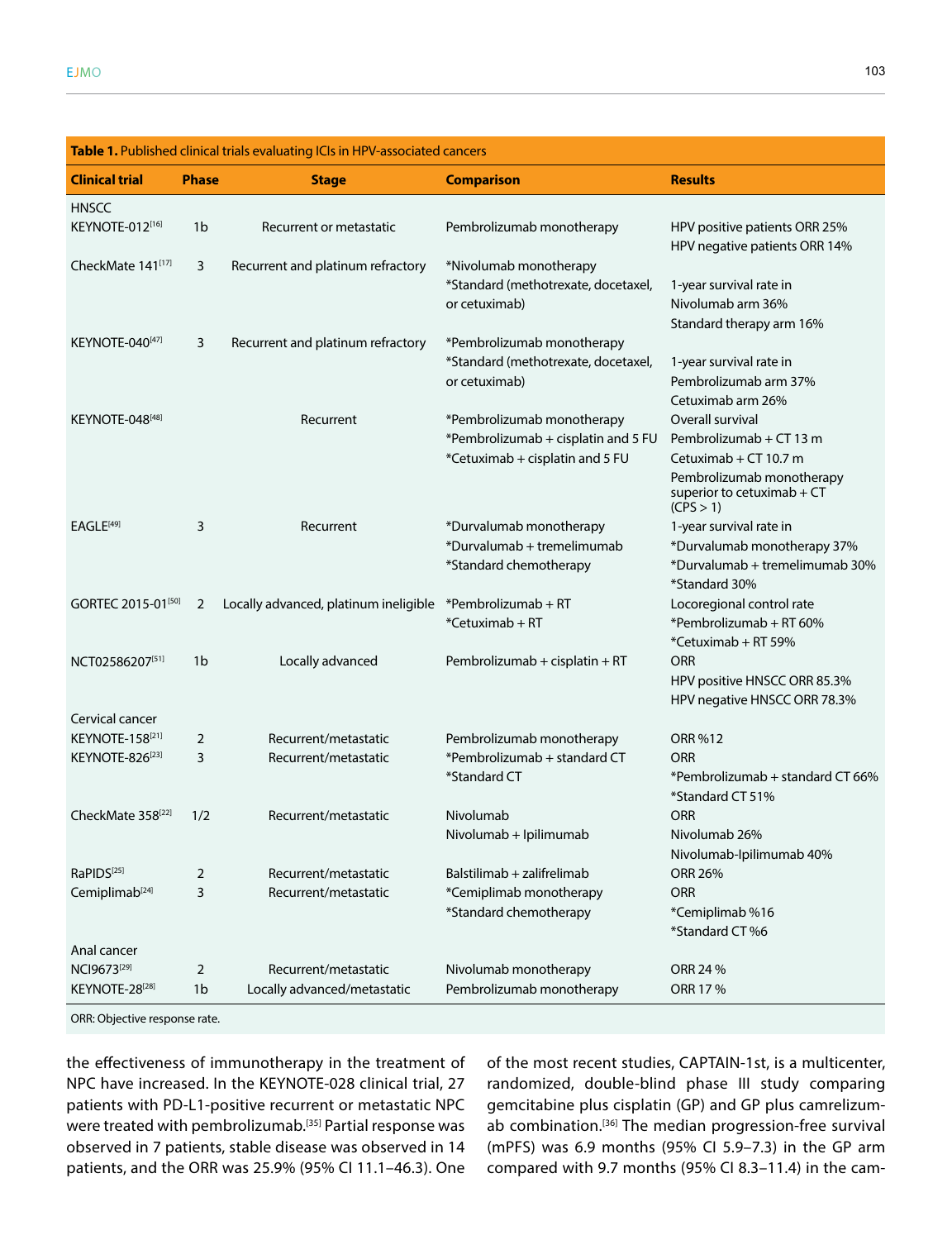| Table 1. Published clinical trials evaluating ICIs in HPV-associated cancers |                |                                       |                                     |                                                                       |  |  |
|------------------------------------------------------------------------------|----------------|---------------------------------------|-------------------------------------|-----------------------------------------------------------------------|--|--|
| <b>Clinical trial</b>                                                        | <b>Phase</b>   | <b>Stage</b>                          | <b>Comparison</b>                   | <b>Results</b>                                                        |  |  |
| <b>HNSCC</b>                                                                 |                |                                       |                                     |                                                                       |  |  |
| KEYNOTE-012[16]                                                              | 1 <sub>b</sub> | Recurrent or metastatic               | Pembrolizumab monotherapy           | HPV positive patients ORR 25%<br>HPV negative patients ORR 14%        |  |  |
| CheckMate 141[17]                                                            | 3              | Recurrent and platinum refractory     | *Nivolumab monotherapy              |                                                                       |  |  |
|                                                                              |                |                                       | *Standard (methotrexate, docetaxel, | 1-year survival rate in                                               |  |  |
|                                                                              |                |                                       | or cetuximab)                       | Nivolumab arm 36%                                                     |  |  |
|                                                                              |                |                                       |                                     | Standard therapy arm 16%                                              |  |  |
| KEYNOTE-040[47]                                                              | 3              | Recurrent and platinum refractory     | *Pembrolizumab monotherapy          |                                                                       |  |  |
|                                                                              |                |                                       | *Standard (methotrexate, docetaxel, | 1-year survival rate in                                               |  |  |
|                                                                              |                |                                       | or cetuximab)                       | Pembrolizumab arm 37%                                                 |  |  |
|                                                                              |                |                                       |                                     | Cetuximab arm 26%                                                     |  |  |
| KEYNOTE-048[48]                                                              |                | Recurrent                             | *Pembrolizumab monotherapy          | Overall survival                                                      |  |  |
|                                                                              |                |                                       | *Pembrolizumab + cisplatin and 5 FU | Pembrolizumab + CT 13 m                                               |  |  |
|                                                                              |                |                                       | *Cetuximab + cisplatin and 5 FU     | Cetuximab + $CT$ 10.7 m                                               |  |  |
|                                                                              |                |                                       |                                     | Pembrolizumab monotherapy<br>superior to cetuximab $+CT$<br>(CPS > 1) |  |  |
| EAGLE <sup>[49]</sup>                                                        | 3              | Recurrent                             | *Durvalumab monotherapy             | 1-year survival rate in                                               |  |  |
|                                                                              |                |                                       | *Durvalumab + tremelimumab          | *Durvalumab monotherapy 37%                                           |  |  |
|                                                                              |                |                                       | *Standard chemotherapy              | *Durvalumab + tremelimumab 30%<br>*Standard 30%                       |  |  |
| GORTEC 2015-01[50]                                                           | 2              | Locally advanced, platinum ineligible | *Pembrolizumab + RT                 | Locoregional control rate                                             |  |  |
|                                                                              |                |                                       | *Cetuximab + RT                     | *Pembrolizumab + RT 60%                                               |  |  |
|                                                                              |                |                                       |                                     | *Cetuximab + RT 59%                                                   |  |  |
| NCT02586207[51]                                                              | 1 <sub>b</sub> | Locally advanced                      | Pembrolizumab + cisplatin + RT      | <b>ORR</b>                                                            |  |  |
|                                                                              |                |                                       |                                     | HPV positive HNSCC ORR 85.3%                                          |  |  |
|                                                                              |                |                                       |                                     | HPV negative HNSCC ORR 78.3%                                          |  |  |
| Cervical cancer                                                              |                |                                       |                                     |                                                                       |  |  |
| KEYNOTE-158 <sup>[21]</sup>                                                  | 2              | Recurrent/metastatic                  | Pembrolizumab monotherapy           | ORR %12                                                               |  |  |
| KEYNOTE-826 <sup>[23]</sup>                                                  | 3              | Recurrent/metastatic                  | *Pembrolizumab + standard CT        | <b>ORR</b>                                                            |  |  |
|                                                                              |                |                                       | *Standard CT                        | *Pembrolizumab + standard CT 66%<br>*Standard CT 51%                  |  |  |
| CheckMate 358 <sup>[22]</sup>                                                | 1/2            | Recurrent/metastatic                  | Nivolumab                           | ORR                                                                   |  |  |
|                                                                              |                |                                       | Nivolumab + Ipilimumab              | Nivolumab 26%                                                         |  |  |
|                                                                              |                |                                       |                                     | Nivolumab-Ipilimumab 40%                                              |  |  |
| RaPIDS <sup>[25]</sup>                                                       | 2              | Recurrent/metastatic                  | Balstilimab + zalifrelimab          | <b>ORR 26%</b>                                                        |  |  |
| Cemiplimab <sup>[24]</sup>                                                   | 3              | Recurrent/metastatic                  | *Cemiplimab monotherapy             | <b>ORR</b>                                                            |  |  |
|                                                                              |                |                                       | *Standard chemotherapy              | *Cemiplimab %16                                                       |  |  |
|                                                                              |                |                                       |                                     | *Standard CT %6                                                       |  |  |
| Anal cancer                                                                  |                |                                       |                                     |                                                                       |  |  |
| NCI9673 <sup>[29]</sup>                                                      | 2              | Recurrent/metastatic                  | Nivolumab monotherapy               | ORR 24 %                                                              |  |  |
| KEYNOTE-28[28]                                                               | 1 <sub>b</sub> | Locally advanced/metastatic           | Pembrolizumab monotherapy           | ORR 17 %                                                              |  |  |

ORR: Objective response rate.

the effectiveness of immunotherapy in the treatment of NPC have increased. In the KEYNOTE-028 clinical trial, 27 patients with PD-L1-positive recurrent or metastatic NPC were treated with pembrolizumab.<sup>[35]</sup> Partial response was observed in 7 patients, stable disease was observed in 14 patients, and the ORR was 25.9% (95% CI 11.1–46.3). One

of the most recent studies, CAPTAIN-1st, is a multicenter, randomized, double-blind phase III study comparing gemcitabine plus cisplatin (GP) and GP plus camrelizumab combination.<sup>[36]</sup> The median progression-free survival (mPFS) was 6.9 months (95% CI 5.9–7.3) in the GP arm compared with 9.7 months (95% CI 8.3–11.4) in the cam-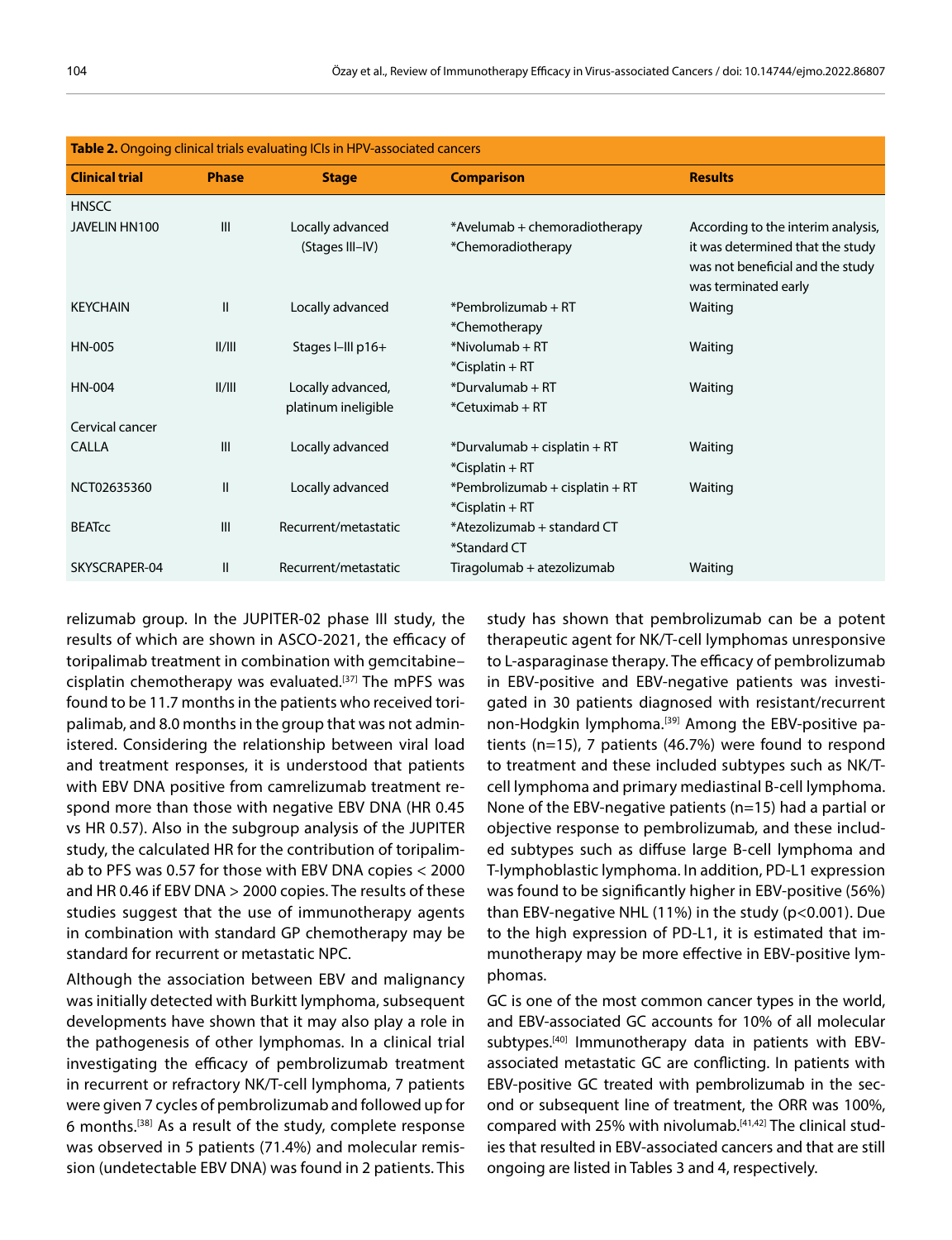| <b>Table 2.</b> Ongoing clinical trials evaluating ICIs in HPV-associated cancers |              |                      |                                 |                                                                                              |  |  |
|-----------------------------------------------------------------------------------|--------------|----------------------|---------------------------------|----------------------------------------------------------------------------------------------|--|--|
| <b>Clinical trial</b>                                                             | <b>Phase</b> | <b>Stage</b>         | <b>Comparison</b>               | <b>Results</b>                                                                               |  |  |
| <b>HNSCC</b>                                                                      |              |                      |                                 |                                                                                              |  |  |
| JAVELIN HN100                                                                     | III          | Locally advanced     | *Avelumab + chemoradiotherapy   | According to the interim analysis,                                                           |  |  |
|                                                                                   |              | (Stages III-IV)      | *Chemoradiotherapy              | it was determined that the study<br>was not beneficial and the study<br>was terminated early |  |  |
| <b>KEYCHAIN</b>                                                                   | $\mathbf{I}$ | Locally advanced     | $*$ Pembrolizumab + RT          | Waiting                                                                                      |  |  |
|                                                                                   |              |                      | *Chemotherapy                   |                                                                                              |  |  |
| HN-005                                                                            | II/III       | Stages I-III p16+    | $*$ Nivolumab + RT              | Waiting                                                                                      |  |  |
|                                                                                   |              |                      | $*$ Cisplatin + RT              |                                                                                              |  |  |
| HN-004                                                                            | II/III       | Locally advanced,    | $*$ Durvalumab + RT             | Waiting                                                                                      |  |  |
|                                                                                   |              | platinum ineligible  | $*$ Cetuximab + RT              |                                                                                              |  |  |
| Cervical cancer                                                                   |              |                      |                                 |                                                                                              |  |  |
| <b>CALLA</b>                                                                      | III          | Locally advanced     | $*$ Durvalumab + cisplatin + RT | Waiting                                                                                      |  |  |
|                                                                                   |              |                      | $*$ Cisplatin + RT              |                                                                                              |  |  |
| NCT02635360                                                                       | $\mathbf{I}$ | Locally advanced     | *Pembrolizumab + cisplatin + RT | Waiting                                                                                      |  |  |
|                                                                                   |              |                      | $*$ Cisplatin + RT              |                                                                                              |  |  |
| <b>BEATCC</b>                                                                     | III          | Recurrent/metastatic | *Atezolizumab + standard CT     |                                                                                              |  |  |
|                                                                                   |              |                      | *Standard CT                    |                                                                                              |  |  |
| SKYSCRAPER-04                                                                     | $\mathsf{I}$ | Recurrent/metastatic | Tiragolumab + atezolizumab      | Waiting                                                                                      |  |  |

| <b>Table 2.</b> Ongoing clinical trials evaluating ICIs in HPV-associated cancers |  |  |
|-----------------------------------------------------------------------------------|--|--|
|-----------------------------------------------------------------------------------|--|--|

relizumab group. In the JUPITER-02 phase III study, the results of which are shown in ASCO-2021, the efficacy of toripalimab treatment in combination with gemcitabine– cisplatin chemotherapy was evaluated.<sup>[37]</sup> The mPFS was found to be 11.7 months in the patients who received toripalimab, and 8.0 months in the group that was not administered. Considering the relationship between viral load and treatment responses, it is understood that patients with EBV DNA positive from camrelizumab treatment respond more than those with negative EBV DNA (HR 0.45 vs HR 0.57). Also in the subgroup analysis of the JUPITER study, the calculated HR for the contribution of toripalimab to PFS was 0.57 for those with EBV DNA copies < 2000 and HR 0.46 if EBV DNA > 2000 copies. The results of these studies suggest that the use of immunotherapy agents in combination with standard GP chemotherapy may be standard for recurrent or metastatic NPC.

Although the association between EBV and malignancy was initially detected with Burkitt lymphoma, subsequent developments have shown that it may also play a role in the pathogenesis of other lymphomas. In a clinical trial investigating the efficacy of pembrolizumab treatment in recurrent or refractory NK/T-cell lymphoma, 7 patients were given 7 cycles of pembrolizumab and followed up for 6 months.[38] As a result of the study, complete response was observed in 5 patients (71.4%) and molecular remission (undetectable EBV DNA) was found in 2 patients. This

study has shown that pembrolizumab can be a potent therapeutic agent for NK/T-cell lymphomas unresponsive to L-asparaginase therapy. The efficacy of pembrolizumab in EBV-positive and EBV-negative patients was investigated in 30 patients diagnosed with resistant/recurrent non-Hodgkin lymphoma.<sup>[39]</sup> Among the EBV-positive patients (n=15), 7 patients (46.7%) were found to respond to treatment and these included subtypes such as NK/Tcell lymphoma and primary mediastinal B-cell lymphoma. None of the EBV-negative patients (n=15) had a partial or objective response to pembrolizumab, and these included subtypes such as diffuse large B-cell lymphoma and T-lymphoblastic lymphoma. In addition, PD-L1 expression was found to be significantly higher in EBV-positive (56%) than EBV-negative NHL (11%) in the study (p<0.001). Due to the high expression of PD-L1, it is estimated that immunotherapy may be more effective in EBV-positive lymphomas.

GC is one of the most common cancer types in the world, and EBV-associated GC accounts for 10% of all molecular subtypes.[40] Immunotherapy data in patients with EBVassociated metastatic GC are conflicting. In patients with EBV-positive GC treated with pembrolizumab in the second or subsequent line of treatment, the ORR was 100%, compared with 25% with nivolumab.[41,42] The clinical studies that resulted in EBV-associated cancers and that are still ongoing are listed in Tables 3 and 4, respectively.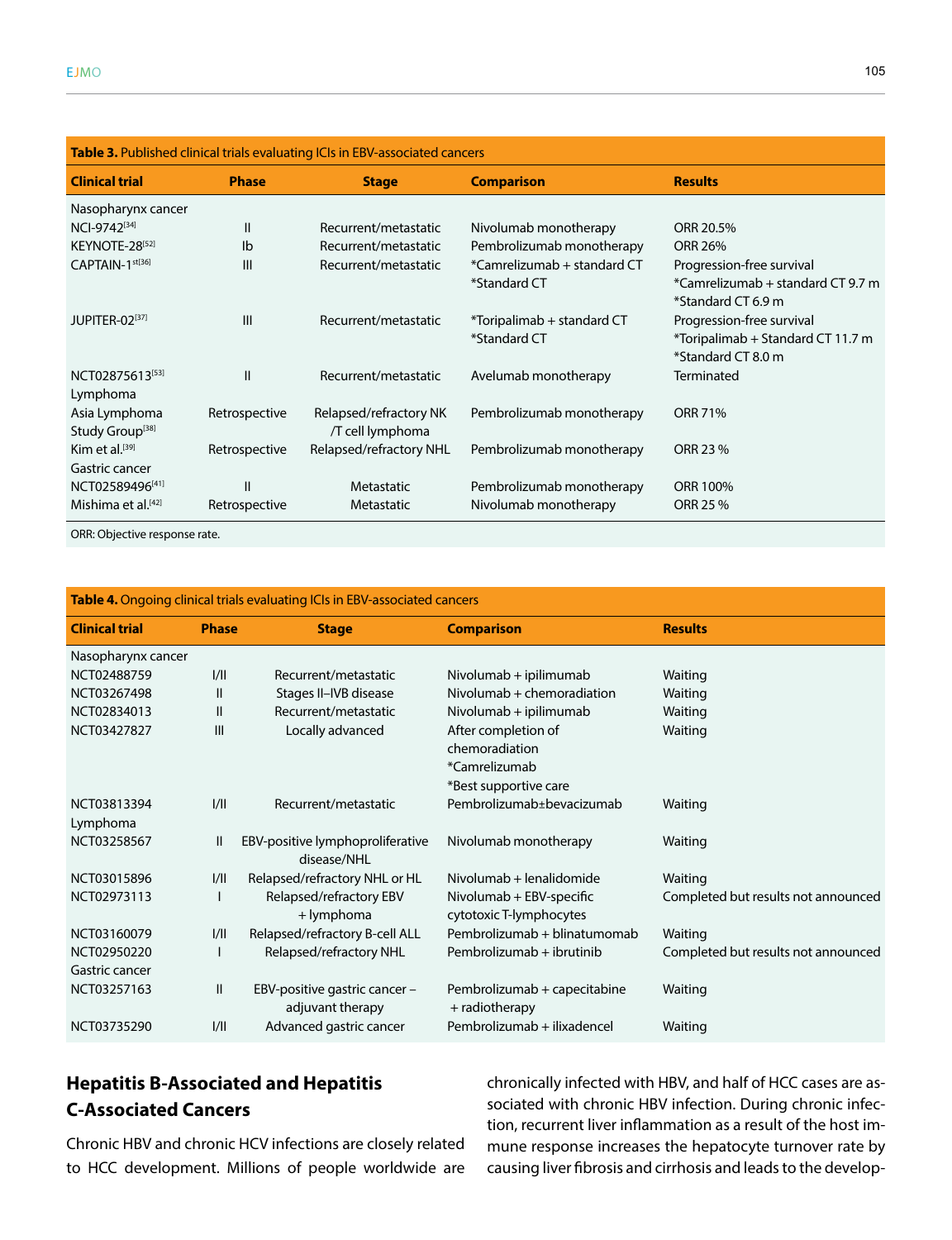| Table 3. Published clinical trials evaluating ICIs in EBV-associated cancers |               |                                            |                                             |                                                                                      |  |
|------------------------------------------------------------------------------|---------------|--------------------------------------------|---------------------------------------------|--------------------------------------------------------------------------------------|--|
| <b>Clinical trial</b>                                                        | <b>Phase</b>  | <b>Stage</b>                               | <b>Comparison</b>                           | <b>Results</b>                                                                       |  |
| Nasopharynx cancer                                                           |               |                                            |                                             |                                                                                      |  |
| NCI-9742[34]                                                                 | $\mathbf{I}$  | Recurrent/metastatic                       | Nivolumab monotherapy                       | ORR 20.5%                                                                            |  |
| KEYNOTE-28[52]                                                               | Ib            | Recurrent/metastatic                       | Pembrolizumab monotherapy                   | <b>ORR 26%</b>                                                                       |  |
| CAPTAIN-1 <sup>st[36]</sup>                                                  | III           | Recurrent/metastatic                       | *Camrelizumab + standard CT<br>*Standard CT | Progression-free survival<br>*Camrelizumab + standard CT 9.7 m<br>*Standard CT 6.9 m |  |
| JUPITER-02[37]                                                               | III           | Recurrent/metastatic                       | *Toripalimab + standard CT<br>*Standard CT  | Progression-free survival<br>*Toripalimab + Standard CT 11.7 m<br>*Standard CT 8.0 m |  |
| NCT02875613[53]<br>Lymphoma                                                  | $\mathbf{I}$  | Recurrent/metastatic                       | Avelumab monotherapy                        | Terminated                                                                           |  |
| Asia Lymphoma<br>Study Group <sup>[38]</sup>                                 | Retrospective | Relapsed/refractory NK<br>/T cell lymphoma | Pembrolizumab monotherapy                   | <b>ORR 71%</b>                                                                       |  |
| Kim et al. $[39]$<br>Gastric cancer                                          | Retrospective | Relapsed/refractory NHL                    | Pembrolizumab monotherapy                   | ORR 23 %                                                                             |  |
| NCT02589496[41]                                                              | $\mathbf{I}$  | Metastatic                                 | Pembrolizumab monotherapy                   | ORR 100%                                                                             |  |
| Mishima et al. <sup>[42]</sup>                                               | Retrospective | Metastatic                                 | Nivolumab monotherapy                       | ORR 25 %                                                                             |  |

ORR: Objective response rate.

| Table 4. Ongoing clinical trials evaluating ICIs in EBV-associated cancers |              |                                                 |                              |                                     |  |  |
|----------------------------------------------------------------------------|--------------|-------------------------------------------------|------------------------------|-------------------------------------|--|--|
| <b>Clinical trial</b>                                                      | <b>Phase</b> | <b>Stage</b>                                    | <b>Comparison</b>            | <b>Results</b>                      |  |  |
| Nasopharynx cancer                                                         |              |                                                 |                              |                                     |  |  |
| NCT02488759                                                                | 1/11         | Recurrent/metastatic                            | Nivolumab + ipilimumab       | Waiting                             |  |  |
| NCT03267498                                                                | $\mathbf{I}$ | Stages II-IVB disease                           | Nivolumab + chemoradiation   | Waiting                             |  |  |
| NCT02834013                                                                | $\mathbf{I}$ | Recurrent/metastatic                            | Nivolumab + ipilimumab       | Waiting                             |  |  |
| NCT03427827                                                                | Ш            | Locally advanced                                | After completion of          | Waiting                             |  |  |
|                                                                            |              |                                                 | chemoradiation               |                                     |  |  |
|                                                                            |              |                                                 | *Camrelizumab                |                                     |  |  |
|                                                                            |              |                                                 | *Best supportive care        |                                     |  |  |
| NCT03813394                                                                | 1/11         | Recurrent/metastatic                            | Pembrolizumab±bevacizumab    | Waiting                             |  |  |
| Lymphoma                                                                   |              |                                                 |                              |                                     |  |  |
| NCT03258567                                                                | Ш            | EBV-positive lymphoproliferative<br>disease/NHI | Nivolumab monotherapy        | Waiting                             |  |  |
| NCT03015896                                                                | 1/11         | Relapsed/refractory NHL or HL                   | Nivolumab + lenalidomide     | Waiting                             |  |  |
| NCT02973113                                                                |              | Relapsed/refractory EBV                         | Nivolumab + EBV-specific     | Completed but results not announced |  |  |
|                                                                            |              | + lymphoma                                      | cytotoxic T-lymphocytes      |                                     |  |  |
| NCT03160079                                                                | 1/11         | Relapsed/refractory B-cell ALL                  | Pembrolizumab + blinatumomab | Waiting                             |  |  |
| NCT02950220                                                                |              | Relapsed/refractory NHL                         | Pembrolizumab + ibrutinib    | Completed but results not announced |  |  |
| Gastric cancer                                                             |              |                                                 |                              |                                     |  |  |
| NCT03257163                                                                | $\mathbf{I}$ | EBV-positive gastric cancer -                   | Pembrolizumab + capecitabine | Waiting                             |  |  |
|                                                                            |              | adjuvant therapy                                | + radiotherapy               |                                     |  |  |
| NCT03735290                                                                | 1/11         | Advanced gastric cancer                         | Pembrolizumab + ilixadencel  | Waiting                             |  |  |

## **Hepatitis B-Associated and Hepatitis C-Associated Cancers**

Chronic HBV and chronic HCV infections are closely related to HCC development. Millions of people worldwide are chronically infected with HBV, and half of HCC cases are associated with chronic HBV infection. During chronic infection, recurrent liver inflammation as a result of the host immune response increases the hepatocyte turnover rate by causing liver fibrosis and cirrhosis and leads to the develop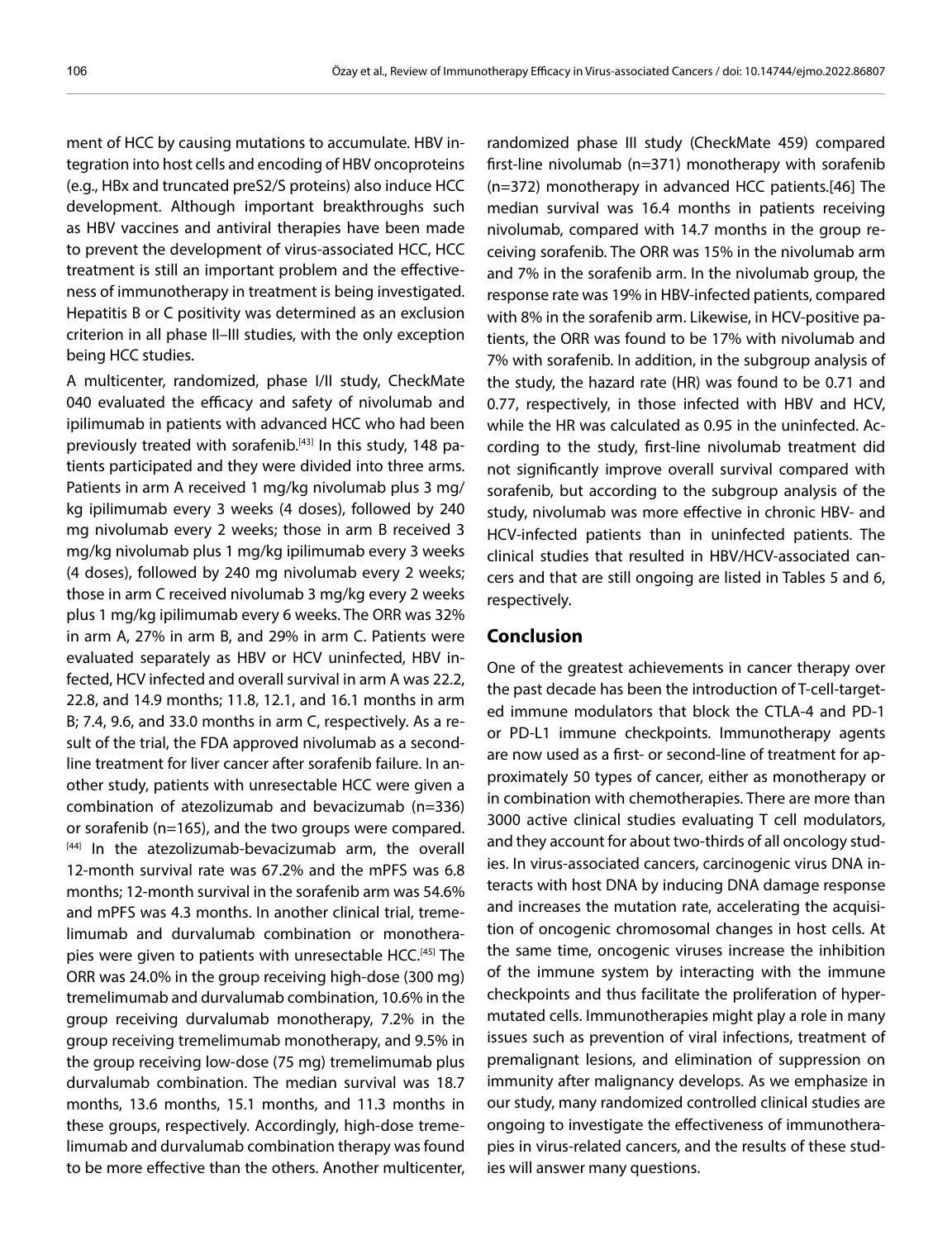ment of HCC by causing mutations to accumulate. HBV integration into host cells and encoding of HBV oncoproteins (e.g., HBx and truncated preS2/S proteins) also induce HCC development. Although important breakthroughs such as HBV vaccines and antiviral therapies have been made to prevent the development of virus-associated HCC, HCC treatment is still an important problem and the effectiveness of immunotherapy in treatment is being investigated. Hepatitis B or C positivity was determined as an exclusion criterion in all phase II–III studies, with the only exception being HCC studies.

A multicenter, randomized, phase I/II study, CheckMate 040 evaluated the efficacy and safety of nivolumab and ipilimumab in patients with advanced HCC who had been previously treated with sorafenib.<sup>[43]</sup> In this study, 148 patients participated and they were divided into three arms. Patients in arm A received 1 mg/kg nivolumab plus 3 mg/ kg ipilimumab every 3 weeks (4 doses), followed by 240 mg nivolumab every 2 weeks; those in arm B received 3 mg/kg nivolumab plus 1 mg/kg ipilimumab every 3 weeks (4 doses), followed by 240 mg nivolumab every 2 weeks; those in arm C received nivolumab 3 mg/kg every 2 weeks plus 1 mg/kg ipilimumab every 6 weeks. The ORR was 32% in arm A, 27% in arm B, and 29% in arm C. Patients were evaluated separately as HBV or HCV uninfected, HBV infected, HCV infected and overall survival in arm A was 22.2, 22.8, and 14.9 months; 11.8, 12.1, and 16.1 months in arm B; 7.4, 9.6, and 33.0 months in arm C, respectively. As a result of the trial, the FDA approved nivolumab as a secondline treatment for liver cancer after sorafenib failure. In another study, patients with unresectable HCC were given a combination of atezolizumab and bevacizumab (n=336) or sorafenib (n=165), and the two groups were compared. [44] In the atezolizumab-bevacizumab arm, the overall 12-month survival rate was 67.2% and the mPFS was 6.8 months; 12-month survival in the sorafenib arm was 54.6% and mPFS was 4.3 months. In another clinical trial, tremelimumab and durvalumab combination or monotherapies were given to patients with unresectable HCC.<sup>[45]</sup> The ORR was 24.0% in the group receiving high-dose (300 mg) tremelimumab and durvalumab combination, 10.6% in the group receiving durvalumab monotherapy, 7.2% in the group receiving tremelimumab monotherapy, and 9.5% in the group receiving low-dose (75 mg) tremelimumab plus durvalumab combination. The median survival was 18.7 months, 13.6 months, 15.1 months, and 11.3 months in these groups, respectively. Accordingly, high-dose tremelimumab and durvalumab combination therapy was found to be more effective than the others. Another multicenter,

randomized phase III study (CheckMate 459) compared first-line nivolumab (n=371) monotherapy with sorafenib (n=372) monotherapy in advanced HCC patients.[46] The median survival was 16.4 months in patients receiving nivolumab, compared with 14.7 months in the group receiving sorafenib. The ORR was 15% in the nivolumab arm and 7% in the sorafenib arm. In the nivolumab group, the response rate was 19% in HBV-infected patients, compared with 8% in the sorafenib arm. Likewise, in HCV-positive patients, the ORR was found to be 17% with nivolumab and 7% with sorafenib. In addition, in the subgroup analysis of the study, the hazard rate (HR) was found to be 0.71 and 0.77, respectively, in those infected with HBV and HCV, while the HR was calculated as 0.95 in the uninfected. According to the study, first-line nivolumab treatment did not significantly improve overall survival compared with sorafenib, but according to the subgroup analysis of the study, nivolumab was more effective in chronic HBV- and HCV-infected patients than in uninfected patients. The clinical studies that resulted in HBV/HCV-associated cancers and that are still ongoing are listed in Tables 5 and 6, respectively.

### **Conclusion**

One of the greatest achievements in cancer therapy over the past decade has been the introduction of T-cell-targeted immune modulators that block the CTLA-4 and PD-1 or PD-L1 immune checkpoints. Immunotherapy agents are now used as a first- or second-line of treatment for approximately 50 types of cancer, either as monotherapy or in combination with chemotherapies. There are more than 3000 active clinical studies evaluating T cell modulators, and they account for about two-thirds of all oncology studies. In virus-associated cancers, carcinogenic virus DNA interacts with host DNA by inducing DNA damage response and increases the mutation rate, accelerating the acquisition of oncogenic chromosomal changes in host cells. At the same time, oncogenic viruses increase the inhibition of the immune system by interacting with the immune checkpoints and thus facilitate the proliferation of hypermutated cells. Immunotherapies might play a role in many issues such as prevention of viral infections, treatment of premalignant lesions, and elimination of suppression on immunity after malignancy develops. As we emphasize in our study, many randomized controlled clinical studies are ongoing to investigate the effectiveness of immunotherapies in virus-related cancers, and the results of these studies will answer many questions.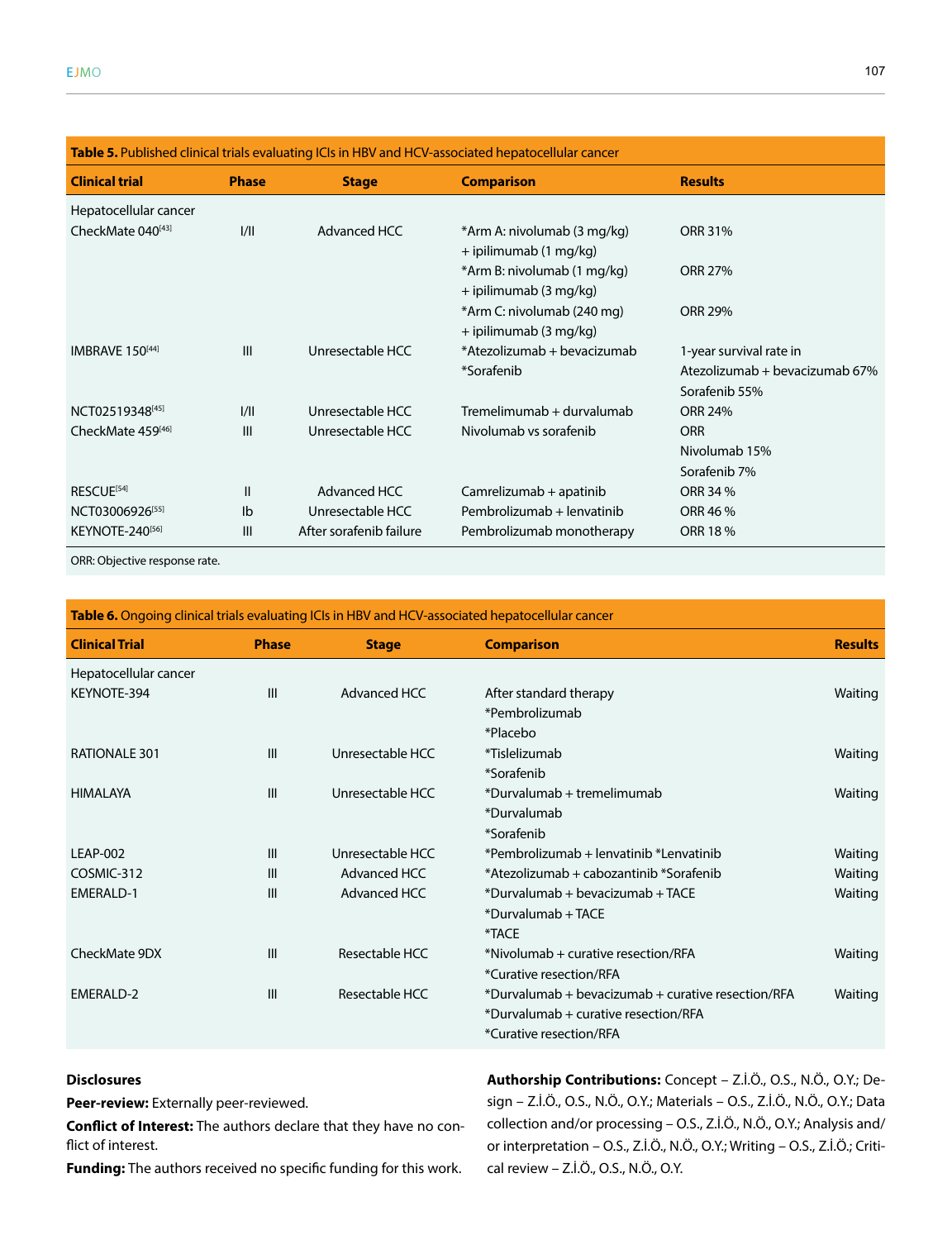| <b>Table 5.</b> Published clinical trials evaluating ICIs in HBV and HCV-associated hepatocellular cancer |                |                         |                                                       |                                |  |
|-----------------------------------------------------------------------------------------------------------|----------------|-------------------------|-------------------------------------------------------|--------------------------------|--|
| <b>Clinical trial</b>                                                                                     | <b>Phase</b>   | <b>Stage</b>            | <b>Comparison</b>                                     | <b>Results</b>                 |  |
| Hepatocellular cancer                                                                                     |                |                         |                                                       |                                |  |
| CheckMate 040[43]                                                                                         | 1/11           | Advanced HCC            | *Arm A: nivolumab (3 mg/kg)<br>+ ipilimumab (1 mg/kg) | <b>ORR 31%</b>                 |  |
|                                                                                                           |                |                         | *Arm B: nivolumab (1 mg/kg)<br>+ ipilimumab (3 mg/kg) | <b>ORR 27%</b>                 |  |
|                                                                                                           |                |                         | *Arm C: nivolumab (240 mg)<br>+ ipilimumab (3 mg/kg)  | <b>ORR 29%</b>                 |  |
| IMBRAVE 150[44]                                                                                           | $\mathbf{III}$ | Unresectable HCC        | *Atezolizumab + bevacizumab                           | 1-year survival rate in        |  |
|                                                                                                           |                |                         | *Sorafenib                                            | Atezolizumab + bevacizumab 67% |  |
|                                                                                                           |                |                         |                                                       | Sorafenib 55%                  |  |
| NCT02519348[45]                                                                                           | 1/11           | Unresectable HCC        | Tremelimumab + durvalumab                             | <b>ORR 24%</b>                 |  |
| CheckMate 459[46]                                                                                         | III            | Unresectable HCC        | Nivolumab vs sorafenib                                | <b>ORR</b>                     |  |
|                                                                                                           |                |                         |                                                       | Nivolumab 15%                  |  |
|                                                                                                           |                |                         |                                                       | Sorafenib 7%                   |  |
| RESCUE <sup>[54]</sup>                                                                                    | $\mathbf{I}$   | Advanced HCC            | Camrelizumab + apatinib                               | ORR 34 %                       |  |
| NCT03006926[55]                                                                                           | Ib             | Unresectable HCC        | Pembrolizumab + lenvatinib                            | ORR 46 %                       |  |
| KEYNOTE-240[56]                                                                                           | $\mathbf{III}$ | After sorafenib failure | Pembrolizumab monotherapy                             | ORR 18 %                       |  |

ORR: Objective response rate.

| Table 6. Ongoing clinical trials evaluating ICIs in HBV and HCV-associated hepatocellular cancer |                |                  |                                                    |                |  |
|--------------------------------------------------------------------------------------------------|----------------|------------------|----------------------------------------------------|----------------|--|
| <b>Clinical Trial</b>                                                                            | <b>Phase</b>   | <b>Stage</b>     | <b>Comparison</b>                                  | <b>Results</b> |  |
| Hepatocellular cancer                                                                            |                |                  |                                                    |                |  |
| KEYNOTE-394                                                                                      | $\mathbf{III}$ | Advanced HCC     | After standard therapy                             | Waiting        |  |
|                                                                                                  |                |                  | *Pembrolizumab                                     |                |  |
|                                                                                                  |                |                  | *Placebo                                           |                |  |
| RATIONALE 301                                                                                    | III            | Unresectable HCC | *Tislelizumab                                      | Waiting        |  |
|                                                                                                  |                |                  | *Sorafenib                                         |                |  |
| <b>HIMALAYA</b>                                                                                  | III            | Unresectable HCC | *Durvalumab + tremelimumab                         | Waiting        |  |
|                                                                                                  |                |                  | *Durvalumab                                        |                |  |
|                                                                                                  |                |                  | *Sorafenib                                         |                |  |
| <b>LEAP-002</b>                                                                                  | III            | Unresectable HCC | *Pembrolizumab + lenvatinib *Lenvatinib            | Waiting        |  |
| COSMIC-312                                                                                       | III            | Advanced HCC     | *Atezolizumab + cabozantinib *Sorafenib            | Waiting        |  |
| <b>EMERALD-1</b>                                                                                 | III            | Advanced HCC     | *Durvalumab + bevacizumab + TACE                   | Waiting        |  |
|                                                                                                  |                |                  | *Durvalumab + TACE                                 |                |  |
|                                                                                                  |                |                  | *TACE                                              |                |  |
| CheckMate 9DX                                                                                    | $\mathbf{III}$ | Resectable HCC   | *Nivolumab + curative resection/RFA                | Waiting        |  |
|                                                                                                  |                |                  | *Curative resection/RFA                            |                |  |
| EMERALD-2                                                                                        | III            | Resectable HCC   | *Durvalumab + bevacizumab + curative resection/RFA | Waiting        |  |
|                                                                                                  |                |                  | *Durvalumab + curative resection/RFA               |                |  |
|                                                                                                  |                |                  | *Curative resection/RFA                            |                |  |
|                                                                                                  |                |                  |                                                    |                |  |

#### **Disclosures**

**Peer-review:** Externally peer-reviewed.

**Conflict of Interest:** The authors declare that they have no conflict of interest.

**Funding:** The authors received no specific funding for this work.

**Authorship Contributions:** Concept – Z.İ.Ö., O.S., N.Ö., O.Y.; Design – Z.İ.Ö., O.S., N.Ö., O.Y.; Materials – O.S., Z.İ.Ö., N.Ö., O.Y.; Data collection and/or processing – O.S., Z.İ.Ö., N.Ö., O.Y.; Analysis and/ or interpretation – O.S., Z.İ.Ö., N.Ö., O.Y.; Writing – O.S., Z.İ.Ö.; Critical review – Z.İ.Ö., O.S., N.Ö., O.Y.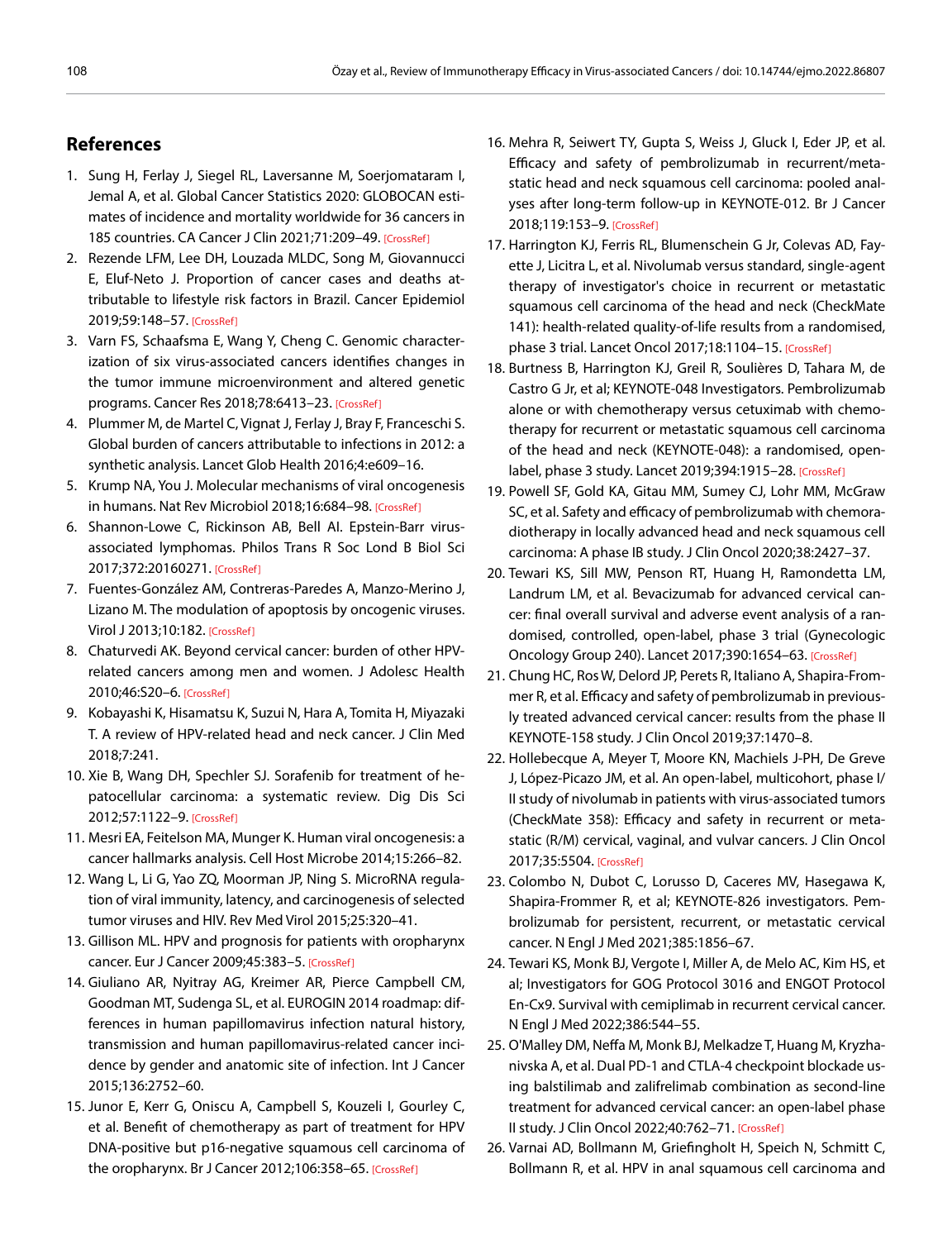### **References**

- 1. Sung H, Ferlay J, Siegel RL, Laversanne M, Soerjomataram I, Jemal A, et al. Global Cancer Statistics 2020: GLOBOCAN estimates of incidence and mortality worldwide for 36 cancers in 185 countries. CA Cancer J Clin 2021;71:209–49[. \[CrossRef\]](https://doi.org/10.3322/caac.21660)
- 2. Rezende LFM, Lee DH, Louzada MLDC, Song M, Giovannucci E, Eluf-Neto J. Proportion of cancer cases and deaths attributable to lifestyle risk factors in Brazil. Cancer Epidemiol 2019;59:148–[57. \[CrossRef\]](https://doi.org/10.1016/j.canep.2019.01.021)
- 3. Varn FS, Schaafsma E, Wang Y, Cheng C. Genomic characterization of six virus-associated cancers identifies changes in the tumor immune microenvironment and altered genetic programs. Cancer Res 2018;78:6413-23. [\[CrossRef\]](https://doi.org/10.1158/0008-5472.CAN-18-1342)
- 4. Plummer M, de Martel C, Vignat J, Ferlay J, Bray F, Franceschi S. Global burden of cancers attributable to infections in 2012: a synthetic analysis. Lancet Glob Health 2016;4:e609–16.
- 5. Krump NA, You J. Molecular mechanisms of viral oncogenesis in humans. Nat Rev Microbiol 2018;16:684-98[. \[CrossRef\]](https://doi.org/10.1038/s41579-018-0064-6)
- 6. Shannon-Lowe C, Rickinson AB, Bell AI. Epstein-Barr virusassociated lymphomas. Philos Trans R Soc Lond B Biol Sci 2017;372:20160271[. \[CrossRef\]](https://doi.org/10.1098/rstb.2016.0271)
- 7. Fuentes-González AM, Contreras-Paredes A, Manzo-Merino J, Lizano M. The modulation of apoptosis by oncogenic viruses. Virol J 2013;10:182[. \[CrossRef\]](https://doi.org/10.1186/1743-422X-10-182)
- 8. Chaturvedi AK. Beyond cervical cancer: burden of other HPVrelated cancers among men and women. J Adolesc Health 2010;46:S20–[6. \[CrossRef\]](https://doi.org/10.1016/j.jadohealth.2010.01.016)
- 9. Kobayashi K, Hisamatsu K, Suzui N, Hara A, Tomita H, Miyazaki T. A review of HPV-related head and neck cancer. J Clin Med 2018;7:241.
- 10. Xie B, Wang DH, Spechler SJ. Sorafenib for treatment of hepatocellular carcinoma: a systematic review. Dig Dis Sci 2012;57:1122[–9. \[CrossRef\]](https://doi.org/10.1007/s10620-012-2136-1)
- 11. Mesri EA, Feitelson MA, Munger K. Human viral oncogenesis: a cancer hallmarks analysis. Cell Host Microbe 2014;15:266–82.
- 12. Wang L, Li G, Yao ZQ, Moorman JP, Ning S. MicroRNA regulation of viral immunity, latency, and carcinogenesis of selected tumor viruses and HIV. Rev Med Virol 2015;25:320–41.
- 13. Gillison ML. HPV and prognosis for patients with oropharynx cancer. Eur J Cancer 2009;45:38[3–5. \[CrossRef\]](https://doi.org/10.1016/S0959-8049(09)70058-9)
- 14. Giuliano AR, Nyitray AG, Kreimer AR, Pierce Campbell CM, Goodman MT, Sudenga SL, et al. EUROGIN 2014 roadmap: differences in human papillomavirus infection natural history, transmission and human papillomavirus-related cancer incidence by gender and anatomic site of infection. Int J Cancer 2015;136:2752–60.
- 15. Junor E, Kerr G, Oniscu A, Campbell S, Kouzeli I, Gourley C, et al. Benefit of chemotherapy as part of treatment for HPV DNA-positive but p16-negative squamous cell carcinoma of the oropharynx. Br J Cancer 2012;106:358-65. [\[CrossRef\]](https://doi.org/10.1038/bjc.2011.542)
- 16. Mehra R, Seiwert TY, Gupta S, Weiss J, Gluck I, Eder JP, et al. Efficacy and safety of pembrolizumab in recurrent/metastatic head and neck squamous cell carcinoma: pooled analyses after long-term follow-up in KEYNOTE-012. Br J Cancer 2018;119:153–9. [\[CrossRef\]](https://doi.org/10.1038/s41416-018-0131-9)
- 17. Harrington KJ, Ferris RL, Blumenschein G Jr, Colevas AD, Fayette J, Licitra L, et al. Nivolumab versus standard, single-agent therapy of investigator's choice in recurrent or metastatic squamous cell carcinoma of the head and neck (CheckMate 141): health-related quality-of-life results from a randomised, phase 3 trial. Lancet Oncol 2017;18:1104–15[. \[CrossRef\]](https://doi.org/10.1016/S1470-2045(17)30421-7)
- 18. Burtness B, Harrington KJ, Greil R, Soulières D, Tahara M, de Castro G Jr, et al; KEYNOTE-048 Investigators. Pembrolizumab alone or with chemotherapy versus cetuximab with chemotherapy for recurrent or metastatic squamous cell carcinoma of the head and neck (KEYNOTE-048): a randomised, openlabel, phase 3 study. Lancet 2019;394:1915–2[8. \[CrossRef\]](https://doi.org/10.1016/S0140-6736(19)32591-7)
- 19. Powell SF, Gold KA, Gitau MM, Sumey CJ, Lohr MM, McGraw SC, et al. Safety and efficacy of pembrolizumab with chemoradiotherapy in locally advanced head and neck squamous cell carcinoma: A phase IB study. J Clin Oncol 2020;38:2427–37.
- 20. Tewari KS, Sill MW, Penson RT, Huang H, Ramondetta LM, Landrum LM, et al. Bevacizumab for advanced cervical cancer: final overall survival and adverse event analysis of a randomised, controlled, open-label, phase 3 trial (Gynecologic Oncology Group 240). Lancet 2017;390:1654–6[3. \[CrossRef](https://doi.org/10.1016/S0140-6736(17)31607-0)]
- 21. Chung HC, Ros W, Delord JP, Perets R, Italiano A, Shapira-Frommer R, et al. Efficacy and safety of pembrolizumab in previously treated advanced cervical cancer: results from the phase II KEYNOTE-158 study. J Clin Oncol 2019;37:1470–8.
- 22. Hollebecque A, Meyer T, Moore KN, Machiels J-PH, De Greve J, López-Picazo JM, et al. An open-label, multicohort, phase I/ II study of nivolumab in patients with virus-associated tumors (CheckMate 358): Efficacy and safety in recurrent or metastatic (R/M) cervical, vaginal, and vulvar cancers. J Clin Oncol 2017;35:5504[. \[CrossRef\]](https://doi.org/10.1200/JCO.2017.35.15_suppl.5504)
- 23. Colombo N, Dubot C, Lorusso D, Caceres MV, Hasegawa K, Shapira-Frommer R, et al; KEYNOTE-826 investigators. Pembrolizumab for persistent, recurrent, or metastatic cervical cancer. N Engl J Med 2021;385:1856–67.
- 24. Tewari KS, Monk BJ, Vergote I, Miller A, de Melo AC, Kim HS, et al; Investigators for GOG Protocol 3016 and ENGOT Protocol En-Cx9. Survival with cemiplimab in recurrent cervical cancer. N Engl J Med 2022;386:544–55.
- 25. O'Malley DM, Neffa M, Monk BJ, Melkadze T, Huang M, Kryzhanivska A, et al. Dual PD-1 and CTLA-4 checkpoint blockade using balstilimab and zalifrelimab combination as second-line treatment for advanced cervical cancer: an open-label phase II study. J Clin Oncol 2022;40:762–[71. \[CrossRef\]](https://doi.org/10.1200/JCO.21.02067)
- 26. Varnai AD, Bollmann M, Griefingholt H, Speich N, Schmitt C, Bollmann R, et al. HPV in anal squamous cell carcinoma and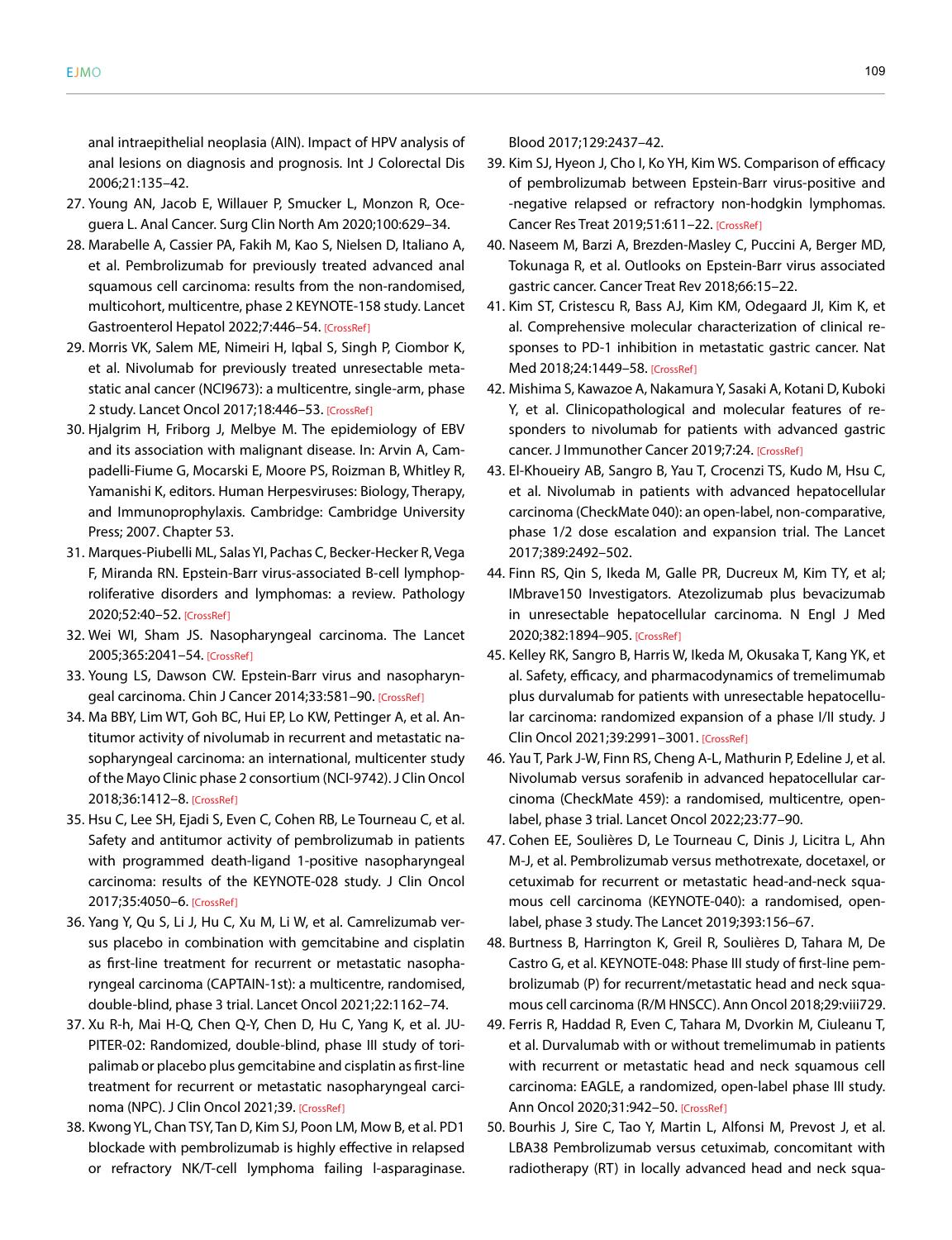anal intraepithelial neoplasia (AIN). Impact of HPV analysis of anal lesions on diagnosis and prognosis. Int J Colorectal Dis 2006;21:135–42.

- 27. Young AN, Jacob E, Willauer P, Smucker L, Monzon R, Oceguera L. Anal Cancer. Surg Clin North Am 2020;100:629–34.
- 28. Marabelle A, Cassier PA, Fakih M, Kao S, Nielsen D, Italiano A, et al. Pembrolizumab for previously treated advanced anal squamous cell carcinoma: results from the non-randomised, multicohort, multicentre, phase 2 KEYNOTE-158 study. Lancet Gastroenterol Hepatol 2022;7:446-5[4. \[CrossRef\]](https://doi.org/10.1016/S2468-1253(21)00382-4)
- 29. Morris VK, Salem ME, Nimeiri H, Iqbal S, Singh P, Ciombor K, et al. Nivolumab for previously treated unresectable metastatic anal cancer (NCI9673): a multicentre, single-arm, phase 2 study. Lancet Oncol 2017;18:446–5[3. \[CrossRef\]](https://doi.org/10.1016/S1470-2045(17)30104-3)
- 30. Hjalgrim H, Friborg J, Melbye M. The epidemiology of EBV and its association with malignant disease. In: Arvin A, Campadelli-Fiume G, Mocarski E, Moore PS, Roizman B, Whitley R, Yamanishi K, editors. Human Herpesviruses: Biology, Therapy, and Immunoprophylaxis. Cambridge: Cambridge University Press; 2007. Chapter 53.
- 31. Marques-Piubelli ML, Salas YI, Pachas C, Becker-Hecker R, Vega F, Miranda RN. Epstein-Barr virus-associated B-cell lymphoproliferative disorders and lymphomas: a review. Pathology 2020;52:40–52[. \[CrossRef\]](https://doi.org/10.1016/j.pathol.2019.09.006)
- 32. Wei WI, Sham JS. Nasopharyngeal carcinoma. The Lancet 2005;365:2041–5[4. \[CrossRef\]](https://doi.org/10.1016/S0140-6736(05)66698-6)
- 33. Young LS, Dawson CW. Epstein-Barr virus and nasopharyngeal carcinoma. Chin J Cancer 2014;33:581–9[0. \[CrossRef\]](https://doi.org/10.5732/cjc.014.10197)
- 34. Ma BBY, Lim WT, Goh BC, Hui EP, Lo KW, Pettinger A, et al. Antitumor activity of nivolumab in recurrent and metastatic nasopharyngeal carcinoma: an international, multicenter study of the Mayo Clinic phase 2 consortium (NCI-9742). J Clin Oncol 2018;36:1412–[8. \[CrossRef\]](https://doi.org/10.1200/JCO.2017.77.0388)
- 35. Hsu C, Lee SH, Ejadi S, Even C, Cohen RB, Le Tourneau C, et al. Safety and antitumor activity of pembrolizumab in patients with programmed death-ligand 1-positive nasopharyngeal carcinoma: results of the KEYNOTE-028 study. J Clin Oncol 2017;35:4050–[6. \[CrossRef\]](https://doi.org/10.1200/JCO.2017.73.3675)
- 36. Yang Y, Qu S, Li J, Hu C, Xu M, Li W, et al. Camrelizumab versus placebo in combination with gemcitabine and cisplatin as first-line treatment for recurrent or metastatic nasopharyngeal carcinoma (CAPTAIN-1st): a multicentre, randomised, double-blind, phase 3 trial. Lancet Oncol 2021;22:1162–74.
- 37. Xu R-h, Mai H-Q, Chen Q-Y, Chen D, Hu C, Yang K, et al. JU-PITER-02: Randomized, double-blind, phase III study of toripalimab or placebo plus gemcitabine and cisplatin as first-line treatment for recurrent or metastatic nasopharyngeal carci-noma (NPC). J Clin Oncol 2021;3[9. \[CrossRef\]](https://doi.org/10.1200/JCO.2021.39.15_suppl.LBA2)
- 38. Kwong YL, Chan TSY, Tan D, Kim SJ, Poon LM, Mow B, et al. PD1 blockade with pembrolizumab is highly effective in relapsed or refractory NK/T-cell lymphoma failing l-asparaginase.

Blood 2017;129:2437–42.

- 39. Kim SJ, Hyeon J, Cho I, Ko YH, Kim WS. Comparison of efficacy of pembrolizumab between Epstein-Barr virus-positive and -negative relapsed or refractory non-hodgkin lymphomas. Cancer Res Treat 2019;51:611–2[2. \[CrossRef\]](https://doi.org/10.4143/crt.2018.191)
- 40. Naseem M, Barzi A, Brezden-Masley C, Puccini A, Berger MD, Tokunaga R, et al. Outlooks on Epstein-Barr virus associated gastric cancer. Cancer Treat Rev 2018;66:15–22.
- 41. Kim ST, Cristescu R, Bass AJ, Kim KM, Odegaard JI, Kim K, et al. Comprehensive molecular characterization of clinical responses to PD-1 inhibition in metastatic gastric cancer. Nat Med 2018;24:1449–5[8. \[CrossRef\]](https://doi.org/10.1038/s41591-018-0101-z)
- 42. Mishima S, Kawazoe A, Nakamura Y, Sasaki A, Kotani D, Kuboki Y, et al. Clinicopathological and molecular features of responders to nivolumab for patients with advanced gastric cancer. J Immunother Cancer 2019;7:[24. \[CrossRef\]](https://doi.org/10.1186/s40425-019-0514-3)
- 43. El-Khoueiry AB, Sangro B, Yau T, Crocenzi TS, Kudo M, Hsu C, et al. Nivolumab in patients with advanced hepatocellular carcinoma (CheckMate 040): an open-label, non-comparative, phase 1/2 dose escalation and expansion trial. The Lancet 2017;389:2492–502.
- 44. Finn RS, Qin S, Ikeda M, Galle PR, Ducreux M, Kim TY, et al; IMbrave150 Investigators. Atezolizumab plus bevacizumab in unresectable hepatocellular carcinoma. N Engl J Med 2020;382:1894–9[05. \[CrossRef\]](https://doi.org/10.1056/NEJMoa1915745)
- 45. Kelley RK, Sangro B, Harris W, Ikeda M, Okusaka T, Kang YK, et al. Safety, efficacy, and pharmacodynamics of tremelimumab plus durvalumab for patients with unresectable hepatocellular carcinoma: randomized expansion of a phase I/II study. J Clin Oncol 2021;39:2991–30[01. \[CrossRef\]](https://doi.org/10.1200/JCO.20.03555)
- 46. Yau T, Park J-W, Finn RS, Cheng A-L, Mathurin P, Edeline J, et al. Nivolumab versus sorafenib in advanced hepatocellular carcinoma (CheckMate 459): a randomised, multicentre, openlabel, phase 3 trial. Lancet Oncol 2022;23:77–90.
- 47. Cohen EE, Soulières D, Le Tourneau C, Dinis J, Licitra L, Ahn M-J, et al. Pembrolizumab versus methotrexate, docetaxel, or cetuximab for recurrent or metastatic head-and-neck squamous cell carcinoma (KEYNOTE-040): a randomised, openlabel, phase 3 study. The Lancet 2019;393:156–67.
- 48. Burtness B, Harrington K, Greil R, Soulières D, Tahara M, De Castro G, et al. KEYNOTE-048: Phase III study of first-line pembrolizumab (P) for recurrent/metastatic head and neck squamous cell carcinoma (R/M HNSCC). Ann Oncol 2018;29:viii729.
- 49. Ferris R, Haddad R, Even C, Tahara M, Dvorkin M, Ciuleanu T, et al. Durvalumab with or without tremelimumab in patients with recurrent or metastatic head and neck squamous cell carcinoma: EAGLE, a randomized, open-label phase III study. Ann Oncol 2020;31:942–5[0. \[CrossRef\]](https://doi.org/10.1016/j.annonc.2020.04.001)
- 50. Bourhis J, Sire C, Tao Y, Martin L, Alfonsi M, Prevost J, et al. LBA38 Pembrolizumab versus cetuximab, concomitant with radiotherapy (RT) in locally advanced head and neck squa-